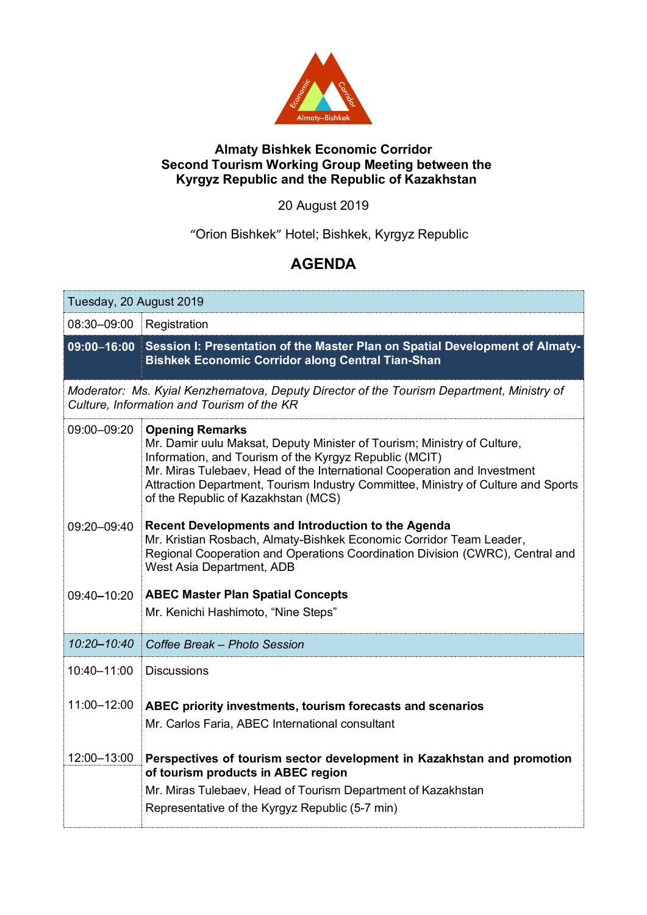

## **Almaty Bishkek Economic Corridor Second Tourism Working Group Meeting between the Kyrgyz Republic and the Republic of Kazakhstan**

## 20 August 2019

"Orion Bishkek" Hotel; Bishkek, Kyrgyz Republic

## **AGENDA**

| Tuesday, 20 August 2019                                                                                                                 |                                                                                                                                                                                                                                                                                                                                                                     |
|-----------------------------------------------------------------------------------------------------------------------------------------|---------------------------------------------------------------------------------------------------------------------------------------------------------------------------------------------------------------------------------------------------------------------------------------------------------------------------------------------------------------------|
| 08:30-09:00                                                                                                                             | Registration                                                                                                                                                                                                                                                                                                                                                        |
| 09:00-16:00                                                                                                                             | Session I: Presentation of the Master Plan on Spatial Development of Almaty-<br><b>Bishkek Economic Corridor along Central Tian-Shan</b>                                                                                                                                                                                                                            |
| Moderator: Ms. Kyial Kenzhematova, Deputy Director of the Tourism Department, Ministry of<br>Culture, Information and Tourism of the KR |                                                                                                                                                                                                                                                                                                                                                                     |
| 09:00-09:20                                                                                                                             | <b>Opening Remarks</b><br>Mr. Damir uulu Maksat, Deputy Minister of Tourism; Ministry of Culture,<br>Information, and Tourism of the Kyrgyz Republic (MCIT)<br>Mr. Miras Tulebaev, Head of the International Cooperation and Investment<br>Attraction Department, Tourism Industry Committee, Ministry of Culture and Sports<br>of the Republic of Kazakhstan (MCS) |
| 09:20-09:40                                                                                                                             | Recent Developments and Introduction to the Agenda<br>Mr. Kristian Rosbach, Almaty-Bishkek Economic Corridor Team Leader,<br>Regional Cooperation and Operations Coordination Division (CWRC), Central and<br>West Asia Department, ADB                                                                                                                             |
| 09:40-10:20                                                                                                                             | <b>ABEC Master Plan Spatial Concepts</b><br>Mr. Kenichi Hashimoto, "Nine Steps"                                                                                                                                                                                                                                                                                     |
| 10:20-10:40                                                                                                                             | Coffee Break - Photo Session                                                                                                                                                                                                                                                                                                                                        |
| 10:40-11:00                                                                                                                             | <b>Discussions</b>                                                                                                                                                                                                                                                                                                                                                  |
| 11:00-12:00                                                                                                                             | ABEC priority investments, tourism forecasts and scenarios<br>Mr. Carlos Faria, ABEC International consultant                                                                                                                                                                                                                                                       |
| 12:00-13:00                                                                                                                             | Perspectives of tourism sector development in Kazakhstan and promotion<br>of tourism products in ABEC region<br>Mr. Miras Tulebaev, Head of Tourism Department of Kazakhstan<br>Representative of the Kyrgyz Republic (5-7 min)                                                                                                                                     |